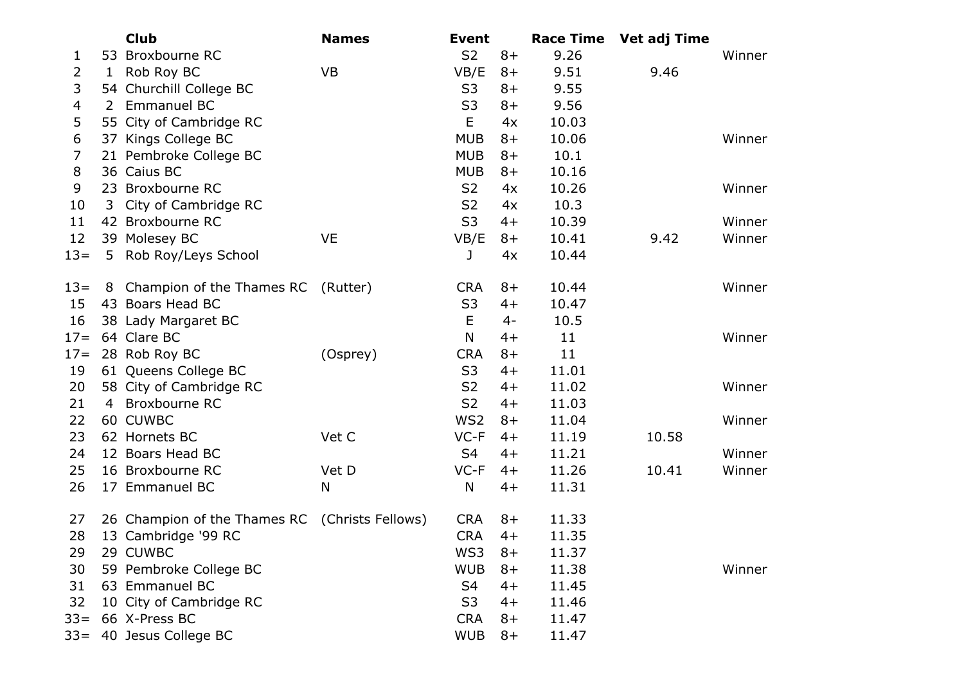|        |                | <b>Club</b>                                    | <b>Names</b> | <b>Event</b>    |      | <b>Race Time</b> | Vet adj Time |        |
|--------|----------------|------------------------------------------------|--------------|-----------------|------|------------------|--------------|--------|
| 1      |                | 53 Broxbourne RC                               |              | S <sub>2</sub>  | $8+$ | 9.26             |              | Winner |
| 2      | $\mathbf{1}$   | Rob Roy BC                                     | <b>VB</b>    | VB/E            | $8+$ | 9.51             | 9.46         |        |
| 3      |                | 54 Churchill College BC                        |              | S <sub>3</sub>  | $8+$ | 9.55             |              |        |
| 4      | $\overline{2}$ | <b>Emmanuel BC</b>                             |              | S <sub>3</sub>  | $8+$ | 9.56             |              |        |
| 5      |                | 55 City of Cambridge RC                        |              | E               | 4x   | 10.03            |              |        |
| 6      |                | 37 Kings College BC                            |              | <b>MUB</b>      | $8+$ | 10.06            |              | Winner |
| 7      |                | 21 Pembroke College BC                         |              | <b>MUB</b>      | $8+$ | 10.1             |              |        |
| 8      |                | 36 Caius BC                                    |              | <b>MUB</b>      | $8+$ | 10.16            |              |        |
| 9      |                | 23 Broxbourne RC                               |              | S <sub>2</sub>  | 4x   | 10.26            |              | Winner |
| 10     | 3              | City of Cambridge RC                           |              | S <sub>2</sub>  | 4x   | 10.3             |              |        |
| 11     |                | 42 Broxbourne RC                               |              | S <sub>3</sub>  | $4+$ | 10.39            |              | Winner |
| 12     |                | 39 Molesey BC                                  | <b>VE</b>    | VB/E            | $8+$ | 10.41            | 9.42         | Winner |
| $13=$  |                | 5 Rob Roy/Leys School                          |              | J               | 4x   | 10.44            |              |        |
| $13=$  | 8              | Champion of the Thames RC (Rutter)             |              | <b>CRA</b>      | $8+$ | 10.44            |              | Winner |
| 15     |                | 43 Boars Head BC                               |              | S <sub>3</sub>  | $4+$ | 10.47            |              |        |
| 16     |                | 38 Lady Margaret BC                            |              | E               | $4-$ | 10.5             |              |        |
| $17=$  |                | 64 Clare BC                                    |              | N               | $4+$ | 11               |              | Winner |
| $17 =$ |                | 28 Rob Roy BC                                  | (Osprey)     | <b>CRA</b>      | $8+$ | 11               |              |        |
| 19     |                | 61 Queens College BC                           |              | S <sub>3</sub>  | $4+$ | 11.01            |              |        |
| 20     |                | 58 City of Cambridge RC                        |              | S <sub>2</sub>  | $4+$ | 11.02            |              | Winner |
| 21     |                | 4 Broxbourne RC                                |              | S <sub>2</sub>  | $4+$ | 11.03            |              |        |
| 22     |                | 60 CUWBC                                       |              | WS <sub>2</sub> | $8+$ | 11.04            |              | Winner |
| 23     |                | 62 Hornets BC                                  | Vet C        | $VC-F$          | $4+$ | 11.19            | 10.58        |        |
| 24     |                | 12 Boars Head BC                               |              | S4              | $4+$ | 11.21            |              | Winner |
| 25     |                | 16 Broxbourne RC                               | Vet D        | $VC-F$          | $4+$ | 11.26            | 10.41        | Winner |
| 26     |                | 17 Emmanuel BC                                 | N            | N               | $4+$ | 11.31            |              |        |
| 27     |                | 26 Champion of the Thames RC (Christs Fellows) |              | <b>CRA</b>      | $8+$ | 11.33            |              |        |
| 28     |                | 13 Cambridge '99 RC                            |              | <b>CRA</b>      | $4+$ | 11.35            |              |        |
| 29     |                | 29 CUWBC                                       |              | WS3             | $8+$ | 11.37            |              |        |
| 30     |                | 59 Pembroke College BC                         |              | <b>WUB</b>      | $8+$ | 11.38            |              | Winner |
| 31     |                | 63 Emmanuel BC                                 |              | S <sub>4</sub>  | $4+$ | 11.45            |              |        |
| 32     |                | 10 City of Cambridge RC                        |              | S <sub>3</sub>  | $4+$ | 11.46            |              |        |
| $33 =$ |                | 66 X-Press BC                                  |              | <b>CRA</b>      | $8+$ | 11.47            |              |        |
| $33 =$ |                | 40 Jesus College BC                            |              | <b>WUB</b>      | $8+$ | 11.47            |              |        |